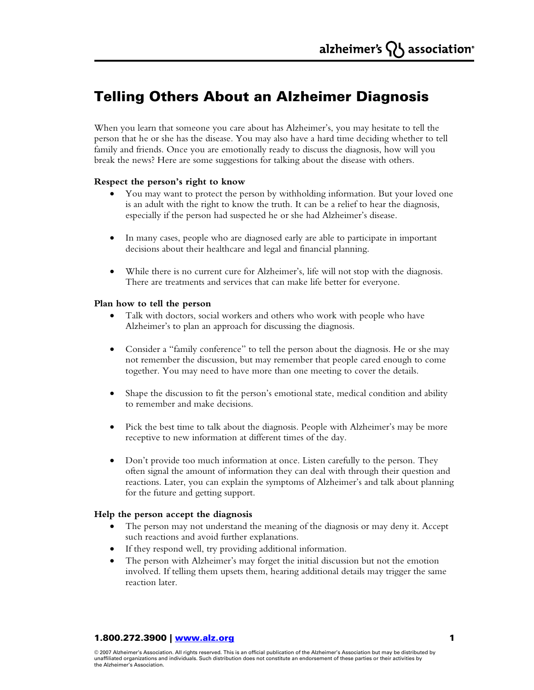# Telling Others About an Alzheimer Diagnosis

When you learn that someone you care about has Alzheimer's, you may hesitate to tell the person that he or she has the disease. You may also have a hard time deciding whether to tell family and friends. Once you are emotionally ready to discuss the diagnosis, how will you break the news? Here are some suggestions for talking about the disease with others.

### **Respect the person's right to know**

- You may want to protect the person by withholding information. But your loved one is an adult with the right to know the truth. It can be a relief to hear the diagnosis, especially if the person had suspected he or she had Alzheimer's disease.
- In many cases, people who are diagnosed early are able to participate in important decisions about their healthcare and legal and financial planning.
- While there is no current cure for Alzheimer's, life will not stop with the diagnosis. There are treatments and services that can make life better for everyone.

#### **Plan how to tell the person**

- Talk with doctors, social workers and others who work with people who have Alzheimer's to plan an approach for discussing the diagnosis.
- Consider a "family conference" to tell the person about the diagnosis. He or she may not remember the discussion, but may remember that people cared enough to come together. You may need to have more than one meeting to cover the details.
- Shape the discussion to fit the person's emotional state, medical condition and ability to remember and make decisions.
- Pick the best time to talk about the diagnosis. People with Alzheimer's may be more receptive to new information at different times of the day.
- Don't provide too much information at once. Listen carefully to the person. They often signal the amount of information they can deal with through their question and reactions. Later, you can explain the symptoms of Alzheimer's and talk about planning for the future and getting support.

#### **Help the person accept the diagnosis**

- The person may not understand the meaning of the diagnosis or may deny it. Accept such reactions and avoid further explanations.
- If they respond well, try providing additional information.
- The person with Alzheimer's may forget the initial discussion but not the emotion involved. If telling them upsets them, hearing additional details may trigger the same reaction later.

#### 1.800.272.3900 | www.alz.org